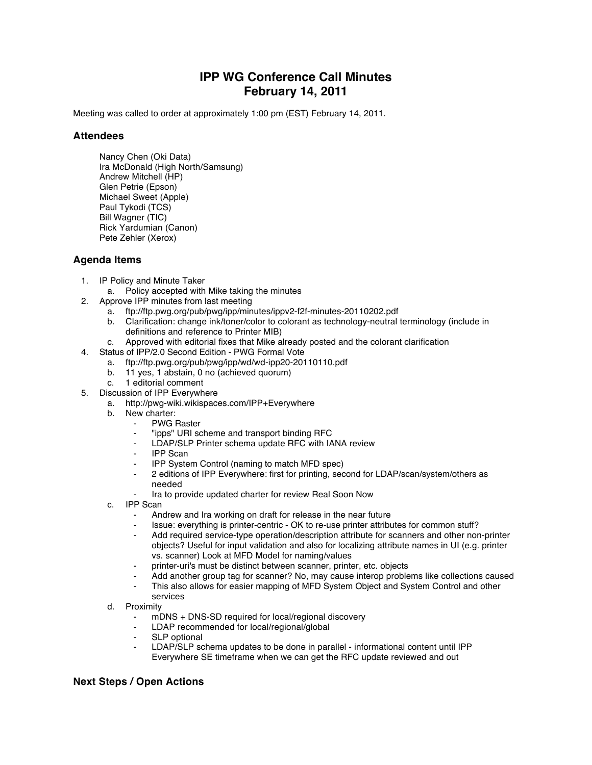## **IPP WG Conference Call Minutes February 14, 2011**

Meeting was called to order at approximately 1:00 pm (EST) February 14, 2011.

## **Attendees**

Nancy Chen (Oki Data) Ira McDonald (High North/Samsung) Andrew Mitchell (HP) Glen Petrie (Epson) Michael Sweet (Apple) Paul Tykodi (TCS) Bill Wagner (TIC) Rick Yardumian (Canon) Pete Zehler (Xerox)

## **Agenda Items**

- 1. IP Policy and Minute Taker
	- a. Policy accepted with Mike taking the minutes
- 2. Approve IPP minutes from last meeting
	- a. ftp://ftp.pwg.org/pub/pwg/ipp/minutes/ippv2-f2f-minutes-20110202.pdf
	- b. Clarification: change ink/toner/color to colorant as technology-neutral terminology (include in definitions and reference to Printer MIB)
	- c. Approved with editorial fixes that Mike already posted and the colorant clarification
- 4. Status of IPP/2.0 Second Edition PWG Formal Vote
	- a. ftp://ftp.pwg.org/pub/pwg/ipp/wd/wd-ipp20-20110110.pdf
	- b. 11 yes, 1 abstain, 0 no (achieved quorum)<br>c. 1 editorial comment
	- 1 editorial comment
- 5. Discussion of IPP Everywhere
	- a. http://pwg-wiki.wikispaces.com/IPP+Everywhere
	- b. New charter:
		- **PWG Raster**
		- ⁃ "ipps" URI scheme and transport binding RFC
		- LDAP/SLP Printer schema update RFC with IANA review
		- **IPP Scan**
		- **IPP System Control (naming to match MFD spec)**
		- ⁃ 2 editions of IPP Everywhere: first for printing, second for LDAP/scan/system/others as needed
		- Ira to provide updated charter for review Real Soon Now
	- c. IPP Scan
		- Andrew and Ira working on draft for release in the near future
		- Issue: everything is printer-centric OK to re-use printer attributes for common stuff?
		- Add required service-type operation/description attribute for scanners and other non-printer objects? Useful for input validation and also for localizing attribute names in UI (e.g. printer vs. scanner) Look at MFD Model for naming/values
		- printer-uri's must be distinct between scanner, printer, etc. objects
		- Add another group tag for scanner? No, may cause interop problems like collections caused
		- This also allows for easier mapping of MFD System Object and System Control and other services
	- d. Proximity
		- mDNS + DNS-SD required for local/regional discovery
		- LDAP recommended for local/regional/global
		- SLP optional
		- LDAP/SLP schema updates to be done in parallel informational content until IPP Everywhere SE timeframe when we can get the RFC update reviewed and out

## **Next Steps / Open Actions**